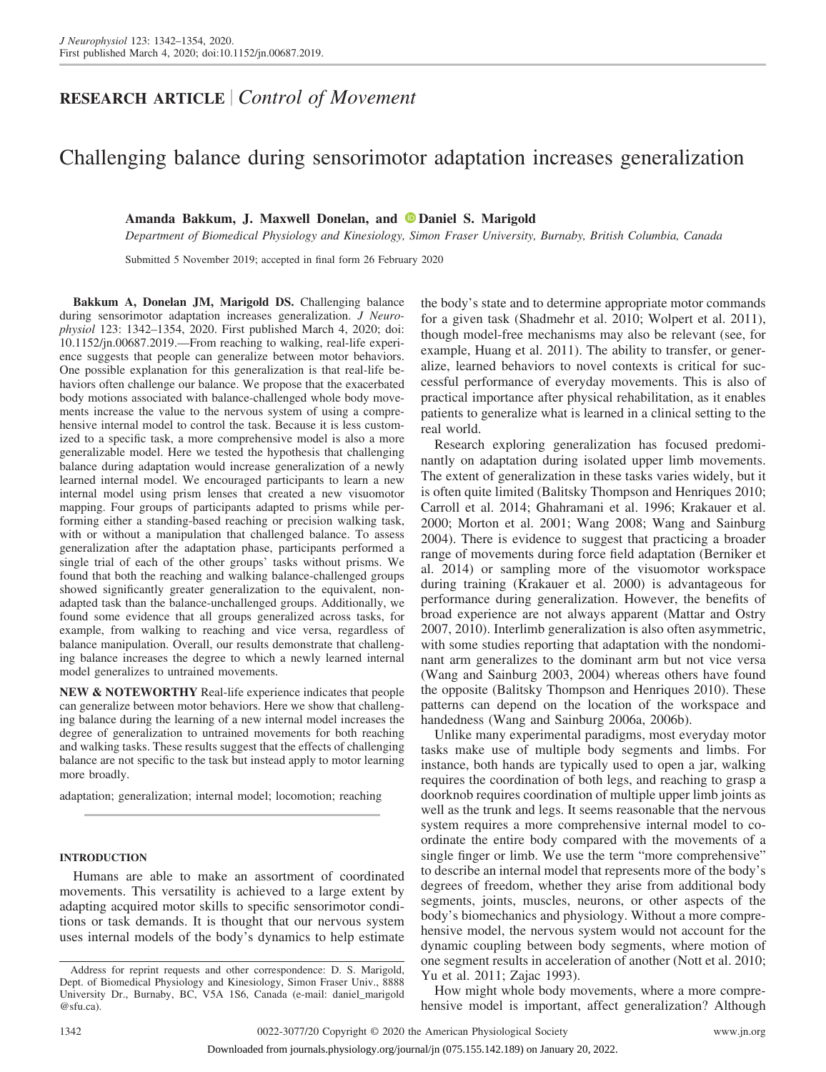## **RESEARCH ARTICLE** *Control of Movement*

# Challenging balance during sensorimotor adaptation increases generalization

## Amanda Bakkum, J. Maxwell Donelan, and **D**[Daniel S. Marigold](https://orcid.org/0000-0001-6610-9058)

*Department of Biomedical Physiology and Kinesiology, Simon Fraser University, Burnaby, British Columbia, Canada*

Submitted 5 November 2019; accepted in final form 26 February 2020

**Bakkum A, Donelan JM, Marigold DS.** Challenging balance during sensorimotor adaptation increases generalization. *J Neurophysiol* 123: 1342–1354, 2020. First published March 4, 2020; doi: [10.1152/jn.00687.2019.](http://doi.org/10.1152/jn.00687.2019)—From reaching to walking, real-life experience suggests that people can generalize between motor behaviors. One possible explanation for this generalization is that real-life behaviors often challenge our balance. We propose that the exacerbated body motions associated with balance-challenged whole body movements increase the value to the nervous system of using a comprehensive internal model to control the task. Because it is less customized to a specific task, a more comprehensive model is also a more generalizable model. Here we tested the hypothesis that challenging balance during adaptation would increase generalization of a newly learned internal model. We encouraged participants to learn a new internal model using prism lenses that created a new visuomotor mapping. Four groups of participants adapted to prisms while performing either a standing-based reaching or precision walking task, with or without a manipulation that challenged balance. To assess generalization after the adaptation phase, participants performed a single trial of each of the other groups' tasks without prisms. We found that both the reaching and walking balance-challenged groups showed significantly greater generalization to the equivalent, nonadapted task than the balance-unchallenged groups. Additionally, we found some evidence that all groups generalized across tasks, for example, from walking to reaching and vice versa, regardless of balance manipulation. Overall, our results demonstrate that challenging balance increases the degree to which a newly learned internal model generalizes to untrained movements.

**NEW & NOTEWORTHY** Real-life experience indicates that people can generalize between motor behaviors. Here we show that challenging balance during the learning of a new internal model increases the degree of generalization to untrained movements for both reaching and walking tasks. These results suggest that the effects of challenging balance are not specific to the task but instead apply to motor learning more broadly.

adaptation; generalization; internal model; locomotion; reaching

## **INTRODUCTION**

Humans are able to make an assortment of coordinated movements. This versatility is achieved to a large extent by adapting acquired motor skills to specific sensorimotor conditions or task demands. It is thought that our nervous system uses internal models of the body's dynamics to help estimate

the body's state and to determine appropriate motor commands for a given task (Shadmehr et al. 2010; Wolpert et al. 2011), though model-free mechanisms may also be relevant (see, for example, Huang et al. 2011). The ability to transfer, or generalize, learned behaviors to novel contexts is critical for successful performance of everyday movements. This is also of practical importance after physical rehabilitation, as it enables patients to generalize what is learned in a clinical setting to the real world.

Research exploring generalization has focused predominantly on adaptation during isolated upper limb movements. The extent of generalization in these tasks varies widely, but it is often quite limited (Balitsky Thompson and Henriques 2010; Carroll et al. 2014; Ghahramani et al. 1996; Krakauer et al. 2000; Morton et al. 2001; Wang 2008; Wang and Sainburg 2004). There is evidence to suggest that practicing a broader range of movements during force field adaptation (Berniker et al. 2014) or sampling more of the visuomotor workspace during training (Krakauer et al. 2000) is advantageous for performance during generalization. However, the benefits of broad experience are not always apparent (Mattar and Ostry 2007, 2010). Interlimb generalization is also often asymmetric, with some studies reporting that adaptation with the nondominant arm generalizes to the dominant arm but not vice versa (Wang and Sainburg 2003, 2004) whereas others have found the opposite (Balitsky Thompson and Henriques 2010). These patterns can depend on the location of the workspace and handedness (Wang and Sainburg 2006a, 2006b).

Unlike many experimental paradigms, most everyday motor tasks make use of multiple body segments and limbs. For instance, both hands are typically used to open a jar, walking requires the coordination of both legs, and reaching to grasp a doorknob requires coordination of multiple upper limb joints as well as the trunk and legs. It seems reasonable that the nervous system requires a more comprehensive internal model to coordinate the entire body compared with the movements of a single finger or limb. We use the term "more comprehensive" to describe an internal model that represents more of the body's degrees of freedom, whether they arise from additional body segments, joints, muscles, neurons, or other aspects of the body's biomechanics and physiology. Without a more comprehensive model, the nervous system would not account for the dynamic coupling between body segments, where motion of one segment results in acceleration of another (Nott et al. 2010; Yu et al. 2011; Zajac 1993).

How might whole body movements, where a more comprehensive model is important, affect generalization? Although

Address for reprint requests and other correspondence: D. S. Marigold, Dept. of Biomedical Physiology and Kinesiology, Simon Fraser Univ., 8888 University Dr., Burnaby, BC, V5A 1S6, Canada (e-mail: [daniel\\_marigold](mailto:daniel_marigold@sfu.ca) [@sfu.ca\)](mailto:daniel_marigold@sfu.ca).

Downloaded from journals.physiology.org/journal/jn (075.155.142.189) on January 20, 2022.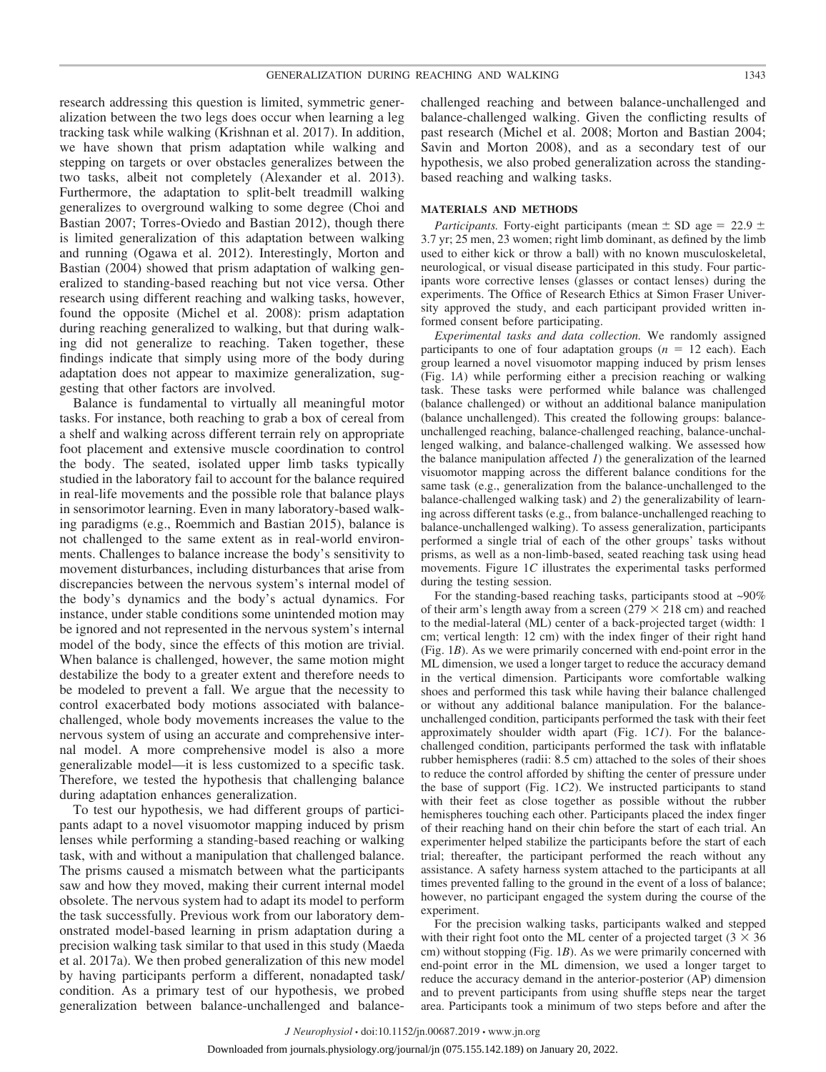research addressing this question is limited, symmetric generalization between the two legs does occur when learning a leg tracking task while walking (Krishnan et al. 2017). In addition, we have shown that prism adaptation while walking and stepping on targets or over obstacles generalizes between the two tasks, albeit not completely (Alexander et al. 2013). Furthermore, the adaptation to split-belt treadmill walking generalizes to overground walking to some degree (Choi and Bastian 2007; Torres-Oviedo and Bastian 2012), though there is limited generalization of this adaptation between walking and running (Ogawa et al. 2012). Interestingly, Morton and Bastian (2004) showed that prism adaptation of walking generalized to standing-based reaching but not vice versa. Other research using different reaching and walking tasks, however, found the opposite (Michel et al. 2008): prism adaptation during reaching generalized to walking, but that during walking did not generalize to reaching. Taken together, these findings indicate that simply using more of the body during adaptation does not appear to maximize generalization, suggesting that other factors are involved.

Balance is fundamental to virtually all meaningful motor tasks. For instance, both reaching to grab a box of cereal from a shelf and walking across different terrain rely on appropriate foot placement and extensive muscle coordination to control the body. The seated, isolated upper limb tasks typically studied in the laboratory fail to account for the balance required in real-life movements and the possible role that balance plays in sensorimotor learning. Even in many laboratory-based walking paradigms (e.g., Roemmich and Bastian 2015), balance is not challenged to the same extent as in real-world environments. Challenges to balance increase the body's sensitivity to movement disturbances, including disturbances that arise from discrepancies between the nervous system's internal model of the body's dynamics and the body's actual dynamics. For instance, under stable conditions some unintended motion may be ignored and not represented in the nervous system's internal model of the body, since the effects of this motion are trivial. When balance is challenged, however, the same motion might destabilize the body to a greater extent and therefore needs to be modeled to prevent a fall. We argue that the necessity to control exacerbated body motions associated with balancechallenged, whole body movements increases the value to the nervous system of using an accurate and comprehensive internal model. A more comprehensive model is also a more generalizable model—it is less customized to a specific task. Therefore, we tested the hypothesis that challenging balance during adaptation enhances generalization.

To test our hypothesis, we had different groups of participants adapt to a novel visuomotor mapping induced by prism lenses while performing a standing-based reaching or walking task, with and without a manipulation that challenged balance. The prisms caused a mismatch between what the participants saw and how they moved, making their current internal model obsolete. The nervous system had to adapt its model to perform the task successfully. Previous work from our laboratory demonstrated model-based learning in prism adaptation during a precision walking task similar to that used in this study (Maeda et al. 2017a). We then probed generalization of this new model by having participants perform a different, nonadapted task/ condition. As a primary test of our hypothesis, we probed generalization between balance-unchallenged and balancechallenged reaching and between balance-unchallenged and balance-challenged walking. Given the conflicting results of past research (Michel et al. 2008; Morton and Bastian 2004; Savin and Morton 2008), and as a secondary test of our hypothesis, we also probed generalization across the standingbased reaching and walking tasks.

#### **MATERIALS AND METHODS**

*Participants.* Forty-eight participants (mean  $\pm$  SD age = 22.9  $\pm$ 3.7 yr; 25 men, 23 women; right limb dominant, as defined by the limb used to either kick or throw a ball) with no known musculoskeletal, neurological, or visual disease participated in this study. Four participants wore corrective lenses (glasses or contact lenses) during the experiments. The Office of Research Ethics at Simon Fraser University approved the study, and each participant provided written informed consent before participating.

*Experimental tasks and data collection.* We randomly assigned participants to one of four adaptation groups  $(n = 12 \text{ each})$ . Each group learned a novel visuomotor mapping induced by prism lenses (Fig. 1*A*) while performing either a precision reaching or walking task. These tasks were performed while balance was challenged (balance challenged) or without an additional balance manipulation (balance unchallenged). This created the following groups: balanceunchallenged reaching, balance-challenged reaching, balance-unchallenged walking, and balance-challenged walking. We assessed how the balance manipulation affected *1*) the generalization of the learned visuomotor mapping across the different balance conditions for the same task (e.g., generalization from the balance-unchallenged to the balance-challenged walking task) and *2*) the generalizability of learning across different tasks (e.g., from balance-unchallenged reaching to balance-unchallenged walking). To assess generalization, participants performed a single trial of each of the other groups' tasks without prisms, as well as a non-limb-based, seated reaching task using head movements. Figure 1*C* illustrates the experimental tasks performed during the testing session.

For the standing-based reaching tasks, participants stood at ~90% of their arm's length away from a screen ( $279 \times 218$  cm) and reached to the medial-lateral (ML) center of a back-projected target (width: 1 cm; vertical length: 12 cm) with the index finger of their right hand (Fig. 1*B*). As we were primarily concerned with end-point error in the ML dimension, we used a longer target to reduce the accuracy demand in the vertical dimension. Participants wore comfortable walking shoes and performed this task while having their balance challenged or without any additional balance manipulation. For the balanceunchallenged condition, participants performed the task with their feet approximately shoulder width apart (Fig. 1*C1*). For the balancechallenged condition, participants performed the task with inflatable rubber hemispheres (radii: 8.5 cm) attached to the soles of their shoes to reduce the control afforded by shifting the center of pressure under the base of support (Fig. 1*C2*). We instructed participants to stand with their feet as close together as possible without the rubber hemispheres touching each other. Participants placed the index finger of their reaching hand on their chin before the start of each trial. An experimenter helped stabilize the participants before the start of each trial; thereafter, the participant performed the reach without any assistance. A safety harness system attached to the participants at all times prevented falling to the ground in the event of a loss of balance; however, no participant engaged the system during the course of the experiment.

For the precision walking tasks, participants walked and stepped with their right foot onto the ML center of a projected target  $(3 \times 36)$ cm) without stopping (Fig. 1*B*). As we were primarily concerned with end-point error in the ML dimension, we used a longer target to reduce the accuracy demand in the anterior-posterior (AP) dimension and to prevent participants from using shuffle steps near the target area. Participants took a minimum of two steps before and after the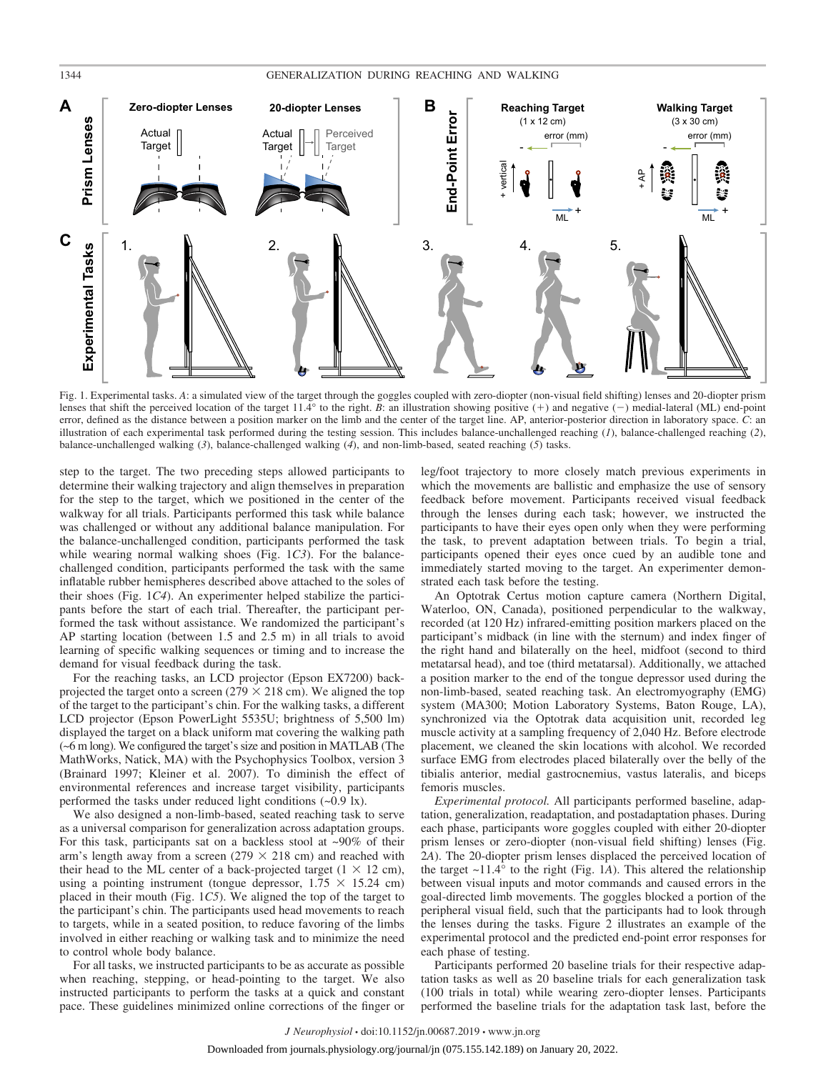## 1344 GENERALIZATION DURING REACHING AND WALKING



Fig. 1. Experimental tasks. *A*: a simulated view of the target through the goggles coupled with zero-diopter (non-visual field shifting) lenses and 20-diopter prism lenses that shift the perceived location of the target 11.4° to the right. *B*: an illustration showing positive (+) and negative (-) medial-lateral (ML) end-point error, defined as the distance between a position marker on the limb and the center of the target line. AP, anterior-posterior direction in laboratory space. *C*: an illustration of each experimental task performed during the testing session. This includes balance-unchallenged reaching (*1*), balance-challenged reaching (*2*), balance-unchallenged walking (*3*), balance-challenged walking (*4*), and non-limb-based, seated reaching (*5*) tasks.

step to the target. The two preceding steps allowed participants to determine their walking trajectory and align themselves in preparation for the step to the target, which we positioned in the center of the walkway for all trials. Participants performed this task while balance was challenged or without any additional balance manipulation. For the balance-unchallenged condition, participants performed the task while wearing normal walking shoes (Fig. 1*C3*). For the balancechallenged condition, participants performed the task with the same inflatable rubber hemispheres described above attached to the soles of their shoes (Fig. 1*C4*). An experimenter helped stabilize the participants before the start of each trial. Thereafter, the participant performed the task without assistance. We randomized the participant's AP starting location (between 1.5 and 2.5 m) in all trials to avoid learning of specific walking sequences or timing and to increase the demand for visual feedback during the task.

For the reaching tasks, an LCD projector (Epson EX7200) backprojected the target onto a screen ( $279 \times 218$  cm). We aligned the top of the target to the participant's chin. For the walking tasks, a different LCD projector (Epson PowerLight 5535U; brightness of 5,500 lm) displayed the target on a black uniform mat covering the walking path (~6 m long). We configured the target's size and position in MATLAB (The MathWorks, Natick, MA) with the Psychophysics Toolbox, version 3 (Brainard 1997; Kleiner et al. 2007). To diminish the effect of environmental references and increase target visibility, participants performed the tasks under reduced light conditions (~0.9 lx).

We also designed a non-limb-based, seated reaching task to serve as a universal comparison for generalization across adaptation groups. For this task, participants sat on a backless stool at  $\sim 90\%$  of their arm's length away from a screen ( $279 \times 218$  cm) and reached with their head to the ML center of a back-projected target  $(1 \times 12 \text{ cm})$ , using a pointing instrument (tongue depressor,  $1.75 \times 15.24$  cm) placed in their mouth (Fig. 1*C5*). We aligned the top of the target to the participant's chin. The participants used head movements to reach to targets, while in a seated position, to reduce favoring of the limbs involved in either reaching or walking task and to minimize the need to control whole body balance.

For all tasks, we instructed participants to be as accurate as possible when reaching, stepping, or head-pointing to the target. We also instructed participants to perform the tasks at a quick and constant pace. These guidelines minimized online corrections of the finger or leg/foot trajectory to more closely match previous experiments in which the movements are ballistic and emphasize the use of sensory feedback before movement. Participants received visual feedback through the lenses during each task; however, we instructed the participants to have their eyes open only when they were performing the task, to prevent adaptation between trials. To begin a trial, participants opened their eyes once cued by an audible tone and immediately started moving to the target. An experimenter demonstrated each task before the testing.

An Optotrak Certus motion capture camera (Northern Digital, Waterloo, ON, Canada), positioned perpendicular to the walkway, recorded (at 120 Hz) infrared-emitting position markers placed on the participant's midback (in line with the sternum) and index finger of the right hand and bilaterally on the heel, midfoot (second to third metatarsal head), and toe (third metatarsal). Additionally, we attached a position marker to the end of the tongue depressor used during the non-limb-based, seated reaching task. An electromyography (EMG) system (MA300; Motion Laboratory Systems, Baton Rouge, LA), synchronized via the Optotrak data acquisition unit, recorded leg muscle activity at a sampling frequency of 2,040 Hz. Before electrode placement, we cleaned the skin locations with alcohol. We recorded surface EMG from electrodes placed bilaterally over the belly of the tibialis anterior, medial gastrocnemius, vastus lateralis, and biceps femoris muscles.

*Experimental protocol.* All participants performed baseline, adaptation, generalization, readaptation, and postadaptation phases. During each phase, participants wore goggles coupled with either 20-diopter prism lenses or zero-diopter (non-visual field shifting) lenses (Fig. 2*A*). The 20-diopter prism lenses displaced the perceived location of the target  $\sim$ 11.4 $\degree$  to the right (Fig. 1*A*). This altered the relationship between visual inputs and motor commands and caused errors in the goal-directed limb movements. The goggles blocked a portion of the peripheral visual field, such that the participants had to look through the lenses during the tasks. Figure 2 illustrates an example of the experimental protocol and the predicted end-point error responses for each phase of testing.

Participants performed 20 baseline trials for their respective adaptation tasks as well as 20 baseline trials for each generalization task (100 trials in total) while wearing zero-diopter lenses. Participants performed the baseline trials for the adaptation task last, before the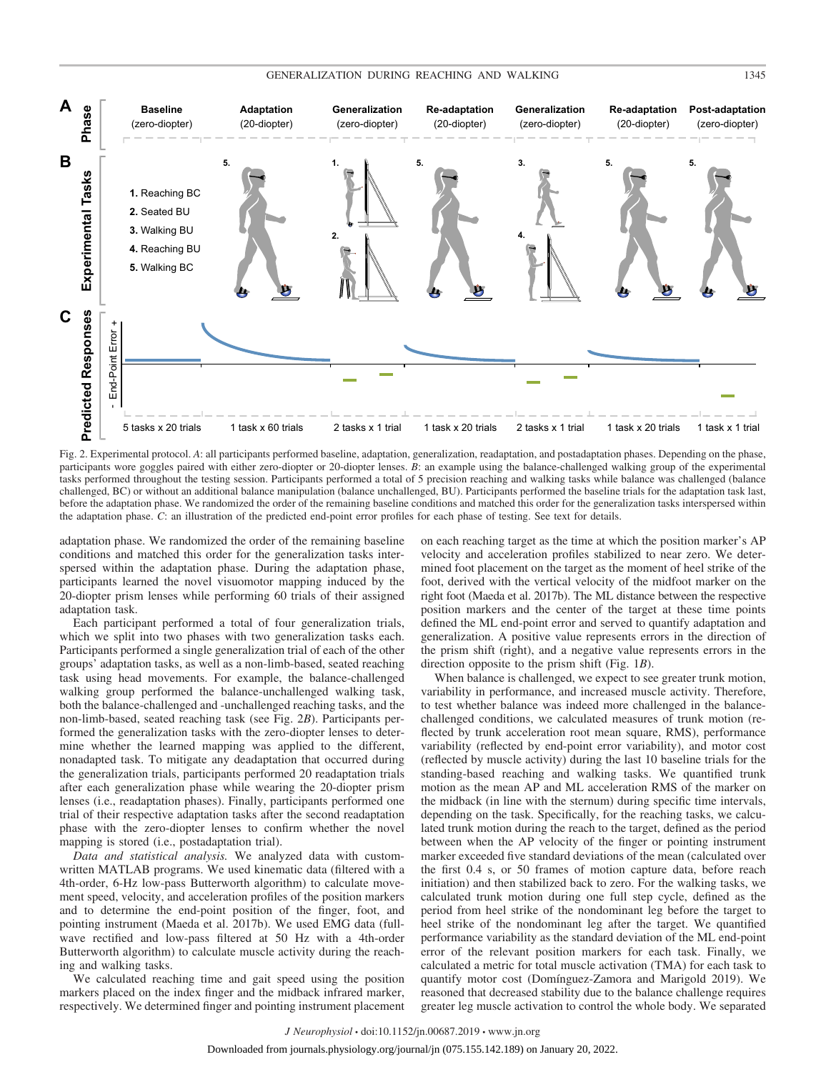## GENERALIZATION DURING REACHING AND WALKING 1345



Fig. 2. Experimental protocol. *A*: all participants performed baseline, adaptation, generalization, readaptation, and postadaptation phases. Depending on the phase, participants wore goggles paired with either zero-diopter or 20-diopter lenses. *B*: an example using the balance-challenged walking group of the experimental tasks performed throughout the testing session. Participants performed a total of 5 precision reaching and walking tasks while balance was challenged (balance challenged, BC) or without an additional balance manipulation (balance unchallenged, BU). Participants performed the baseline trials for the adaptation task last, before the adaptation phase. We randomized the order of the remaining baseline conditions and matched this order for the generalization tasks interspersed within the adaptation phase. *C*: an illustration of the predicted end-point error profiles for each phase of testing. See text for details.

adaptation phase. We randomized the order of the remaining baseline conditions and matched this order for the generalization tasks interspersed within the adaptation phase. During the adaptation phase, participants learned the novel visuomotor mapping induced by the 20-diopter prism lenses while performing 60 trials of their assigned adaptation task.

Each participant performed a total of four generalization trials, which we split into two phases with two generalization tasks each. Participants performed a single generalization trial of each of the other groups' adaptation tasks, as well as a non-limb-based, seated reaching task using head movements. For example, the balance-challenged walking group performed the balance-unchallenged walking task, both the balance-challenged and -unchallenged reaching tasks, and the non-limb-based, seated reaching task (see Fig. 2*B*). Participants performed the generalization tasks with the zero-diopter lenses to determine whether the learned mapping was applied to the different, nonadapted task. To mitigate any deadaptation that occurred during the generalization trials, participants performed 20 readaptation trials after each generalization phase while wearing the 20-diopter prism lenses (i.e., readaptation phases). Finally, participants performed one trial of their respective adaptation tasks after the second readaptation phase with the zero-diopter lenses to confirm whether the novel mapping is stored (i.e., postadaptation trial).

*Data and statistical analysis.* We analyzed data with customwritten MATLAB programs. We used kinematic data (filtered with a 4th-order, 6-Hz low-pass Butterworth algorithm) to calculate movement speed, velocity, and acceleration profiles of the position markers and to determine the end-point position of the finger, foot, and pointing instrument (Maeda et al. 2017b). We used EMG data (fullwave rectified and low-pass filtered at 50 Hz with a 4th-order Butterworth algorithm) to calculate muscle activity during the reaching and walking tasks.

We calculated reaching time and gait speed using the position markers placed on the index finger and the midback infrared marker, respectively. We determined finger and pointing instrument placement

on each reaching target as the time at which the position marker's AP velocity and acceleration profiles stabilized to near zero. We determined foot placement on the target as the moment of heel strike of the foot, derived with the vertical velocity of the midfoot marker on the right foot (Maeda et al. 2017b). The ML distance between the respective position markers and the center of the target at these time points defined the ML end-point error and served to quantify adaptation and generalization. A positive value represents errors in the direction of the prism shift (right), and a negative value represents errors in the direction opposite to the prism shift (Fig. 1*B*).

When balance is challenged, we expect to see greater trunk motion, variability in performance, and increased muscle activity. Therefore, to test whether balance was indeed more challenged in the balancechallenged conditions, we calculated measures of trunk motion (reflected by trunk acceleration root mean square, RMS), performance variability (reflected by end-point error variability), and motor cost (reflected by muscle activity) during the last 10 baseline trials for the standing-based reaching and walking tasks. We quantified trunk motion as the mean AP and ML acceleration RMS of the marker on the midback (in line with the sternum) during specific time intervals, depending on the task. Specifically, for the reaching tasks, we calculated trunk motion during the reach to the target, defined as the period between when the AP velocity of the finger or pointing instrument marker exceeded five standard deviations of the mean (calculated over the first 0.4 s, or 50 frames of motion capture data, before reach initiation) and then stabilized back to zero. For the walking tasks, we calculated trunk motion during one full step cycle, defined as the period from heel strike of the nondominant leg before the target to heel strike of the nondominant leg after the target. We quantified performance variability as the standard deviation of the ML end-point error of the relevant position markers for each task. Finally, we calculated a metric for total muscle activation (TMA) for each task to quantify motor cost (Domínguez-Zamora and Marigold 2019). We reasoned that decreased stability due to the balance challenge requires greater leg muscle activation to control the whole body. We separated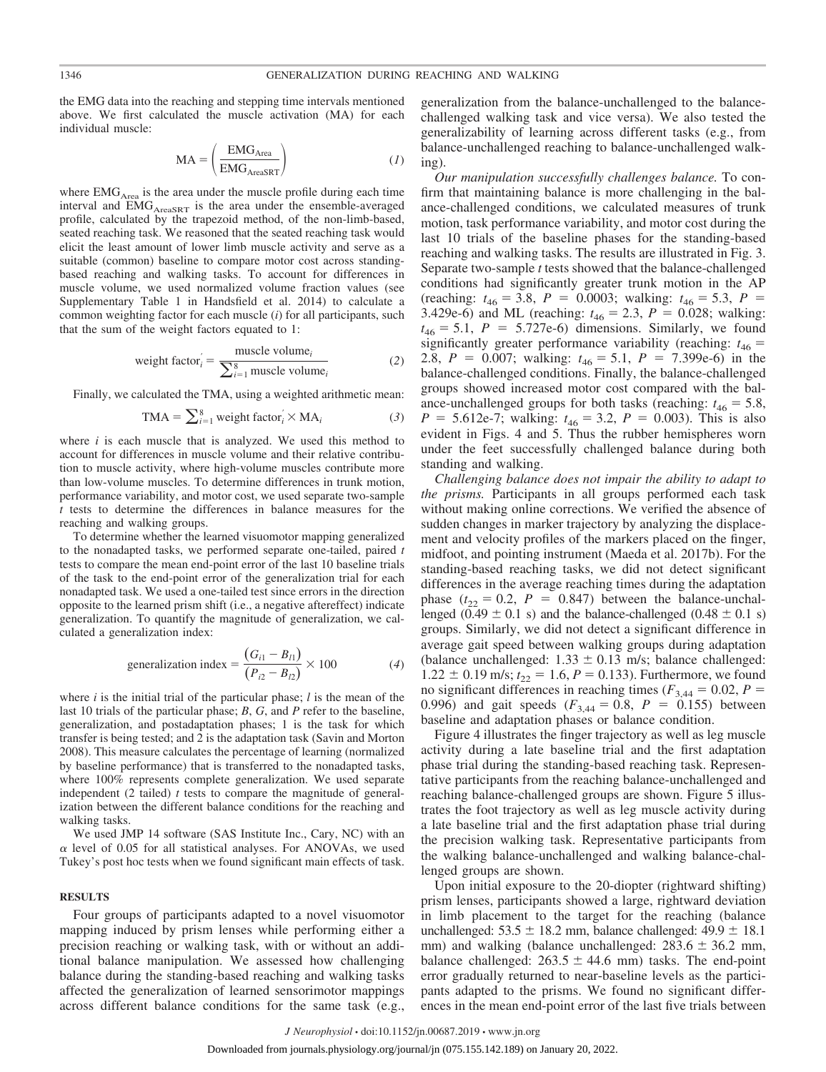the EMG data into the reaching and stepping time intervals mentioned above. We first calculated the muscle activation (MA) for each individual muscle:

$$
MA = \left(\frac{EMG_{Area}}{EMG_{Area8RT}}\right) \tag{1}
$$

where  $EMG<sub>Area</sub>$  is the area under the muscle profile during each time interval and  $EMG<sub>AreaSRT</sub>$  is the area under the ensemble-averaged profile, calculated by the trapezoid method, of the non-limb-based, seated reaching task. We reasoned that the seated reaching task would elicit the least amount of lower limb muscle activity and serve as a suitable (common) baseline to compare motor cost across standingbased reaching and walking tasks. To account for differences in muscle volume, we used normalized volume fraction values (see Supplementary Table 1 in Handsfield et al. 2014) to calculate a common weighting factor for each muscle (*i*) for all participants, such that the sum of the weight factors equated to 1:

weight factor<sub>i</sub>' = 
$$
\frac{\text{muscle volume}_i}{\sum_{i=1}^{8} \text{muscle volume}_i}
$$
 (2)

Finally, we calculated the TMA, using a weighted arithmetic mean:

$$
TMA = \sum_{i=1}^{8} weight factor'_{i} \times MA_{i}
$$
 (3)

where  $i$  is each muscle that is analyzed. We used this method to account for differences in muscle volume and their relative contribution to muscle activity, where high-volume muscles contribute more than low-volume muscles. To determine differences in trunk motion, performance variability, and motor cost, we used separate two-sample *t* tests to determine the differences in balance measures for the reaching and walking groups.

To determine whether the learned visuomotor mapping generalized to the nonadapted tasks, we performed separate one-tailed, paired *t* tests to compare the mean end-point error of the last 10 baseline trials of the task to the end-point error of the generalization trial for each nonadapted task. We used a one-tailed test since errors in the direction opposite to the learned prism shift (i.e., a negative aftereffect) indicate generalization. To quantify the magnitude of generalization, we calculated a generalization index:

generalization index = 
$$
\frac{(G_{i1} - B_{11})}{(P_{i2} - B_{12})} \times 100
$$
 (4)

where *i* is the initial trial of the particular phase; *l* is the mean of the last 10 trials of the particular phase; *B*, *G*, and *P* refer to the baseline, generalization, and postadaptation phases; 1 is the task for which transfer is being tested; and 2 is the adaptation task (Savin and Morton 2008). This measure calculates the percentage of learning (normalized by baseline performance) that is transferred to the nonadapted tasks, where 100% represents complete generalization. We used separate independent (2 tailed) *t* tests to compare the magnitude of generalization between the different balance conditions for the reaching and walking tasks.

We used JMP 14 software (SAS Institute Inc., Cary, NC) with an  $\alpha$  level of 0.05 for all statistical analyses. For ANOVAs, we used Tukey's post hoc tests when we found significant main effects of task.

#### **RESULTS**

Four groups of participants adapted to a novel visuomotor mapping induced by prism lenses while performing either a precision reaching or walking task, with or without an additional balance manipulation. We assessed how challenging balance during the standing-based reaching and walking tasks affected the generalization of learned sensorimotor mappings across different balance conditions for the same task (e.g.,

generalization from the balance-unchallenged to the balancechallenged walking task and vice versa). We also tested the generalizability of learning across different tasks (e.g., from balance-unchallenged reaching to balance-unchallenged walking).

*Our manipulation successfully challenges balance.* To confirm that maintaining balance is more challenging in the balance-challenged conditions, we calculated measures of trunk motion, task performance variability, and motor cost during the last 10 trials of the baseline phases for the standing-based reaching and walking tasks. The results are illustrated in Fig. 3. Separate two-sample *t* tests showed that the balance-challenged conditions had significantly greater trunk motion in the AP (reaching:  $t_{46} = 3.8$ ,  $P = 0.0003$ ; walking:  $t_{46} = 5.3$ ,  $P =$ 3.429e-6) and ML (reaching:  $t_{46} = 2.3$ ,  $P = 0.028$ ; walking:  $t_{46} = 5.1$ ,  $P = 5.727e-6$ ) dimensions. Similarly, we found significantly greater performance variability (reaching:  $t_{46}$  = 2.8,  $P = 0.007$ ; walking:  $t_{46} = 5.1$ ,  $P = 7.399e-6$ ) in the balance-challenged conditions. Finally, the balance-challenged groups showed increased motor cost compared with the balance-unchallenged groups for both tasks (reaching:  $t_{46} = 5.8$ ,  $P = 5.612$ e-7; walking:  $t_{46} = 3.2$ ,  $P = 0.003$ ). This is also evident in Figs. 4 and 5. Thus the rubber hemispheres worn under the feet successfully challenged balance during both standing and walking.

*Challenging balance does not impair the ability to adapt to the prisms.* Participants in all groups performed each task without making online corrections. We verified the absence of sudden changes in marker trajectory by analyzing the displacement and velocity profiles of the markers placed on the finger, midfoot, and pointing instrument (Maeda et al. 2017b). For the standing-based reaching tasks, we did not detect significant differences in the average reaching times during the adaptation phase  $(t_{22} = 0.2, P = 0.847)$  between the balance-unchallenged  $(0.49 \pm 0.1 \text{ s})$  and the balance-challenged  $(0.48 \pm 0.1 \text{ s})$ groups. Similarly, we did not detect a significant difference in average gait speed between walking groups during adaptation (balance unchallenged:  $1.33 \pm 0.13$  m/s; balance challenged:  $1.22 \pm 0.19$  m/s;  $t_{22} = 1.6$ ,  $P = 0.133$ ). Furthermore, we found no significant differences in reaching times ( $F_{3,44} = 0.02$ ,  $P =$ 0.996) and gait speeds  $(F_{3,44} = 0.8, P = 0.155)$  between baseline and adaptation phases or balance condition.

Figure 4 illustrates the finger trajectory as well as leg muscle activity during a late baseline trial and the first adaptation phase trial during the standing-based reaching task. Representative participants from the reaching balance-unchallenged and reaching balance-challenged groups are shown. Figure 5 illustrates the foot trajectory as well as leg muscle activity during a late baseline trial and the first adaptation phase trial during the precision walking task. Representative participants from the walking balance-unchallenged and walking balance-challenged groups are shown.

Upon initial exposure to the 20-diopter (rightward shifting) prism lenses, participants showed a large, rightward deviation in limb placement to the target for the reaching (balance unchallenged:  $53.5 \pm 18.2$  mm, balance challenged:  $49.9 \pm 18.1$ mm) and walking (balance unchallenged:  $283.6 \pm 36.2$  mm, balance challenged:  $263.5 \pm 44.6$  mm) tasks. The end-point error gradually returned to near-baseline levels as the participants adapted to the prisms. We found no significant differences in the mean end-point error of the last five trials between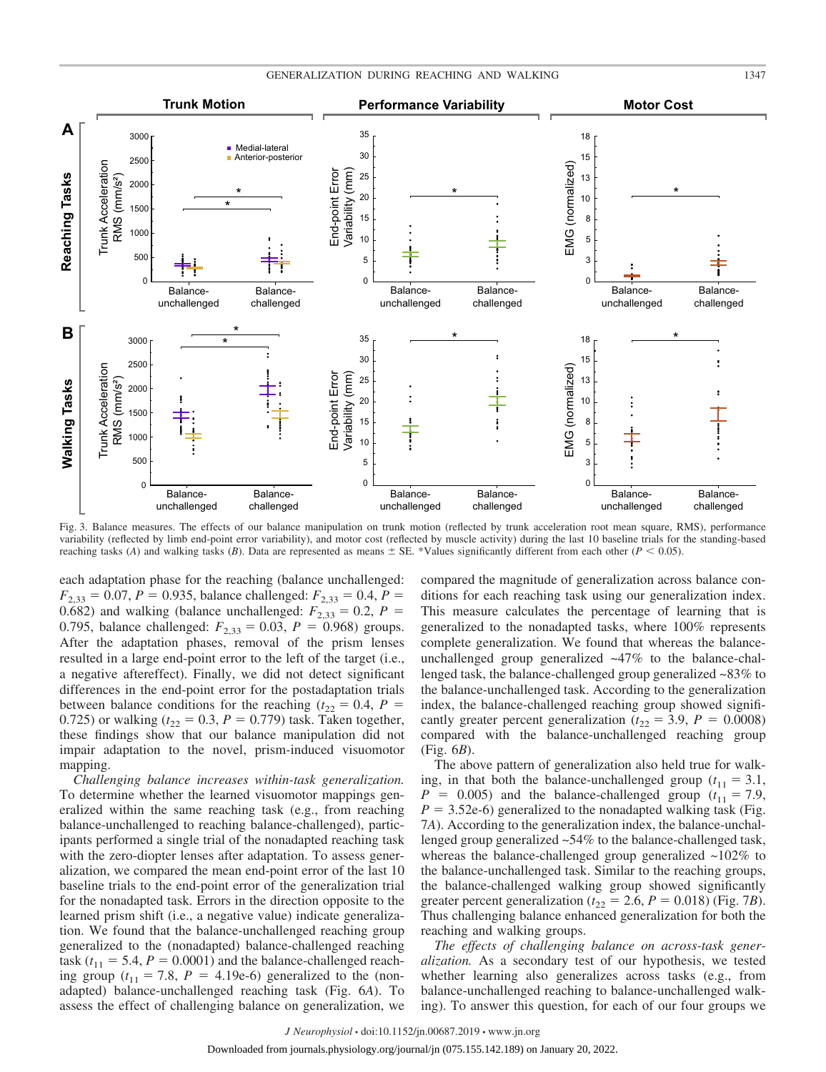

Fig. 3. Balance measures. The effects of our balance manipulation on trunk motion (reflected by trunk acceleration root mean square, RMS), performance variability (reflected by limb end-point error variability), and motor cost (reflected by muscle activity) during the last 10 baseline trials for the standing-based reaching tasks (*A*) and walking tasks (*B*). Data are represented as means  $\pm$  SE. \*Values significantly different from each other (*P* < 0.05).

each adaptation phase for the reaching (balance unchallenged:  $F_{2,33} = 0.07$ ,  $P = 0.935$ , balance challenged:  $F_{2,33} = 0.4$ ,  $P =$ 0.682) and walking (balance unchallenged:  $F_{2,33} = 0.2$ ,  $P =$ 0.795, balance challenged:  $F_{2,33} = 0.03$ ,  $P = 0.968$ ) groups. After the adaptation phases, removal of the prism lenses resulted in a large end-point error to the left of the target (i.e., a negative aftereffect). Finally, we did not detect significant differences in the end-point error for the postadaptation trials between balance conditions for the reaching ( $t_{22} = 0.4$ ,  $P =$ 0.725) or walking  $(t_{22} = 0.3, P = 0.779)$  task. Taken together, these findings show that our balance manipulation did not impair adaptation to the novel, prism-induced visuomotor mapping.

*Challenging balance increases within-task generalization.* To determine whether the learned visuomotor mappings generalized within the same reaching task (e.g., from reaching balance-unchallenged to reaching balance-challenged), participants performed a single trial of the nonadapted reaching task with the zero-diopter lenses after adaptation. To assess generalization, we compared the mean end-point error of the last 10 baseline trials to the end-point error of the generalization trial for the nonadapted task. Errors in the direction opposite to the learned prism shift (i.e., a negative value) indicate generalization. We found that the balance-unchallenged reaching group generalized to the (nonadapted) balance-challenged reaching task ( $t_{11} = 5.4$ ,  $P = 0.0001$ ) and the balance-challenged reaching group  $(t_{11} = 7.8, P = 4.19e-6)$  generalized to the (nonadapted) balance-unchallenged reaching task (Fig. 6*A*). To assess the effect of challenging balance on generalization, we

compared the magnitude of generalization across balance conditions for each reaching task using our generalization index. This measure calculates the percentage of learning that is generalized to the nonadapted tasks, where 100% represents complete generalization. We found that whereas the balanceunchallenged group generalized ~47% to the balance-challenged task, the balance-challenged group generalized ~83% to the balance-unchallenged task. According to the generalization index, the balance-challenged reaching group showed significantly greater percent generalization ( $t_{22} = 3.9$ ,  $P = 0.0008$ ) compared with the balance-unchallenged reaching group (Fig. 6*B*).

The above pattern of generalization also held true for walking, in that both the balance-unchallenged group  $(t_{11} = 3.1,$  $P = 0.005$ ) and the balance-challenged group ( $t_{11} = 7.9$ ,  $P = 3.52e-6$ ) generalized to the nonadapted walking task (Fig. 7*A*). According to the generalization index, the balance-unchallenged group generalized ~54% to the balance-challenged task, whereas the balance-challenged group generalized  $\sim$ 102% to the balance-unchallenged task. Similar to the reaching groups, the balance-challenged walking group showed significantly greater percent generalization ( $t_{22} = 2.6$ ,  $P = 0.018$ ) (Fig. 7*B*). Thus challenging balance enhanced generalization for both the reaching and walking groups.

*The effects of challenging balance on across-task generalization.* As a secondary test of our hypothesis, we tested whether learning also generalizes across tasks (e.g., from balance-unchallenged reaching to balance-unchallenged walking). To answer this question, for each of our four groups we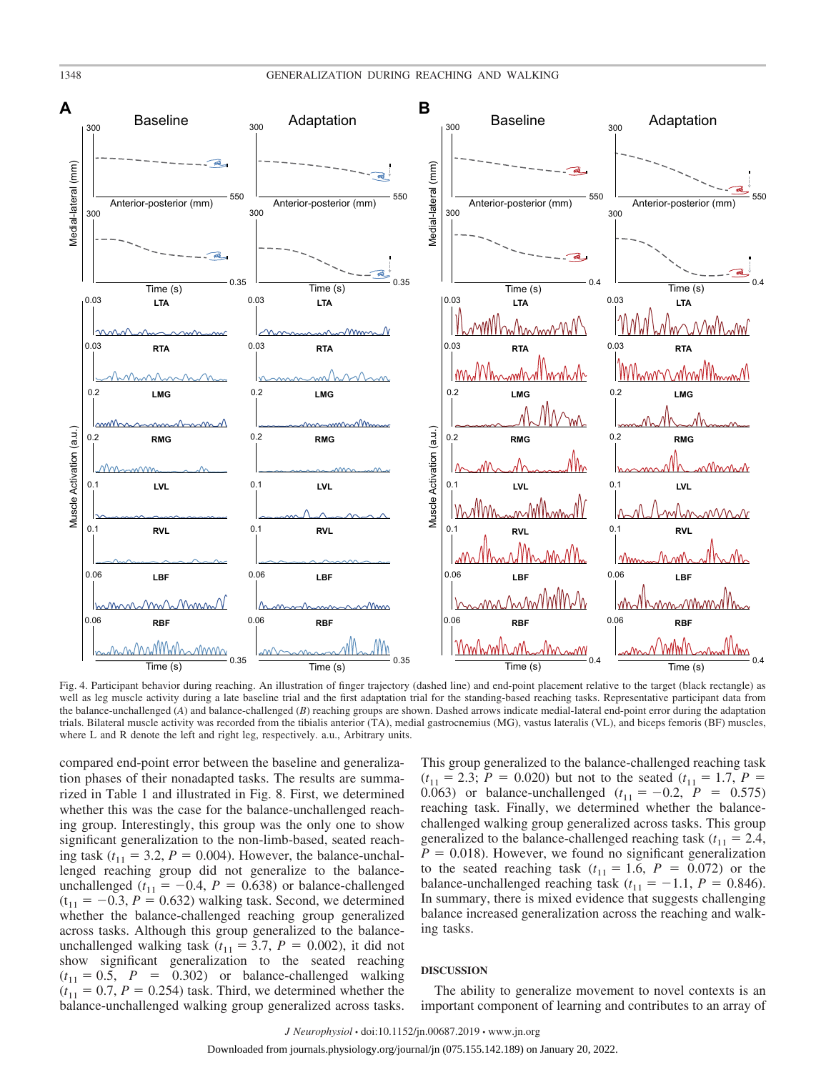

Fig. 4. Participant behavior during reaching. An illustration of finger trajectory (dashed line) and end-point placement relative to the target (black rectangle) as well as leg muscle activity during a late baseline trial and the first adaptation trial for the standing-based reaching tasks. Representative participant data from the balance-unchallenged (*A*) and balance-challenged (*B*) reaching groups are shown. Dashed arrows indicate medial-lateral end-point error during the adaptation trials. Bilateral muscle activity was recorded from the tibialis anterior (TA), medial gastrocnemius (MG), vastus lateralis (VL), and biceps femoris (BF) muscles, where L and R denote the left and right leg, respectively. a.u., Arbitrary units.

compared end-point error between the baseline and generalization phases of their nonadapted tasks. The results are summarized in Table 1 and illustrated in Fig. 8. First, we determined whether this was the case for the balance-unchallenged reaching group. Interestingly, this group was the only one to show significant generalization to the non-limb-based, seated reaching task  $(t_{11} = 3.2, P = 0.004)$ . However, the balance-unchallenged reaching group did not generalize to the balanceunchallenged ( $t_{11} = -0.4$ ,  $P = 0.638$ ) or balance-challenged  $(t_{11} = -0.3, P = 0.632)$  walking task. Second, we determined whether the balance-challenged reaching group generalized across tasks. Although this group generalized to the balanceunchallenged walking task  $(t_{11} = 3.7, P = 0.002)$ , it did not show significant generalization to the seated reaching  $(t_{11} = 0.5, P = 0.302)$  or balance-challenged walking  $(t_{11} = 0.7, P = 0.254)$  task. Third, we determined whether the balance-unchallenged walking group generalized across tasks.

This group generalized to the balance-challenged reaching task  $(t_{11} = 2.3; P = 0.020)$  but not to the seated  $(t_{11} = 1.7, P = 0.020)$ 0.063) or balance-unchallenged  $(t_{11} = -0.2, P = 0.575)$ reaching task. Finally, we determined whether the balancechallenged walking group generalized across tasks. This group generalized to the balance-challenged reaching task  $(t_{11} = 2.4,$  $P = 0.018$ ). However, we found no significant generalization to the seated reaching task  $(t_{11} = 1.6, P = 0.072)$  or the balance-unchallenged reaching task  $(t_{11} = -1.1, P = 0.846)$ . In summary, there is mixed evidence that suggests challenging balance increased generalization across the reaching and walking tasks.

### **DISCUSSION**

The ability to generalize movement to novel contexts is an important component of learning and contributes to an array of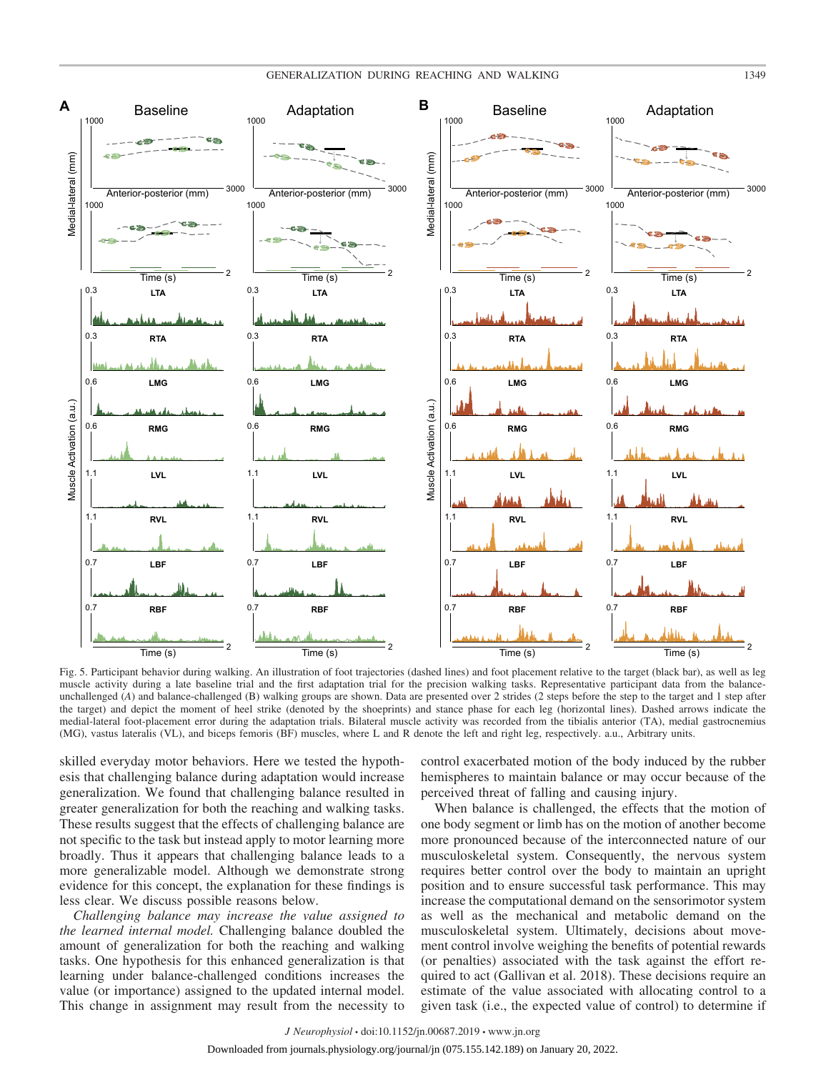

Fig. 5. Participant behavior during walking. An illustration of foot trajectories (dashed lines) and foot placement relative to the target (black bar), as well as leg muscle activity during a late baseline trial and the first adaptation trial for the precision walking tasks. Representative participant data from the balanceunchallenged (*A*) and balance-challenged (B) walking groups are shown. Data are presented over 2 strides (2 steps before the step to the target and 1 step after the target) and depict the moment of heel strike (denoted by the shoeprints) and stance phase for each leg (horizontal lines). Dashed arrows indicate the medial-lateral foot-placement error during the adaptation trials. Bilateral muscle activity was recorded from the tibialis anterior (TA), medial gastrocnemius (MG), vastus lateralis (VL), and biceps femoris (BF) muscles, where L and R denote the left and right leg, respectively. a.u., Arbitrary units.

skilled everyday motor behaviors. Here we tested the hypothesis that challenging balance during adaptation would increase generalization. We found that challenging balance resulted in greater generalization for both the reaching and walking tasks. These results suggest that the effects of challenging balance are not specific to the task but instead apply to motor learning more broadly. Thus it appears that challenging balance leads to a more generalizable model. Although we demonstrate strong evidence for this concept, the explanation for these findings is less clear. We discuss possible reasons below.

*Challenging balance may increase the value assigned to the learned internal model.* Challenging balance doubled the amount of generalization for both the reaching and walking tasks. One hypothesis for this enhanced generalization is that learning under balance-challenged conditions increases the value (or importance) assigned to the updated internal model. This change in assignment may result from the necessity to

control exacerbated motion of the body induced by the rubber hemispheres to maintain balance or may occur because of the perceived threat of falling and causing injury.

When balance is challenged, the effects that the motion of one body segment or limb has on the motion of another become more pronounced because of the interconnected nature of our musculoskeletal system. Consequently, the nervous system requires better control over the body to maintain an upright position and to ensure successful task performance. This may increase the computational demand on the sensorimotor system as well as the mechanical and metabolic demand on the musculoskeletal system. Ultimately, decisions about movement control involve weighing the benefits of potential rewards (or penalties) associated with the task against the effort required to act (Gallivan et al. 2018). These decisions require an estimate of the value associated with allocating control to a given task (i.e., the expected value of control) to determine if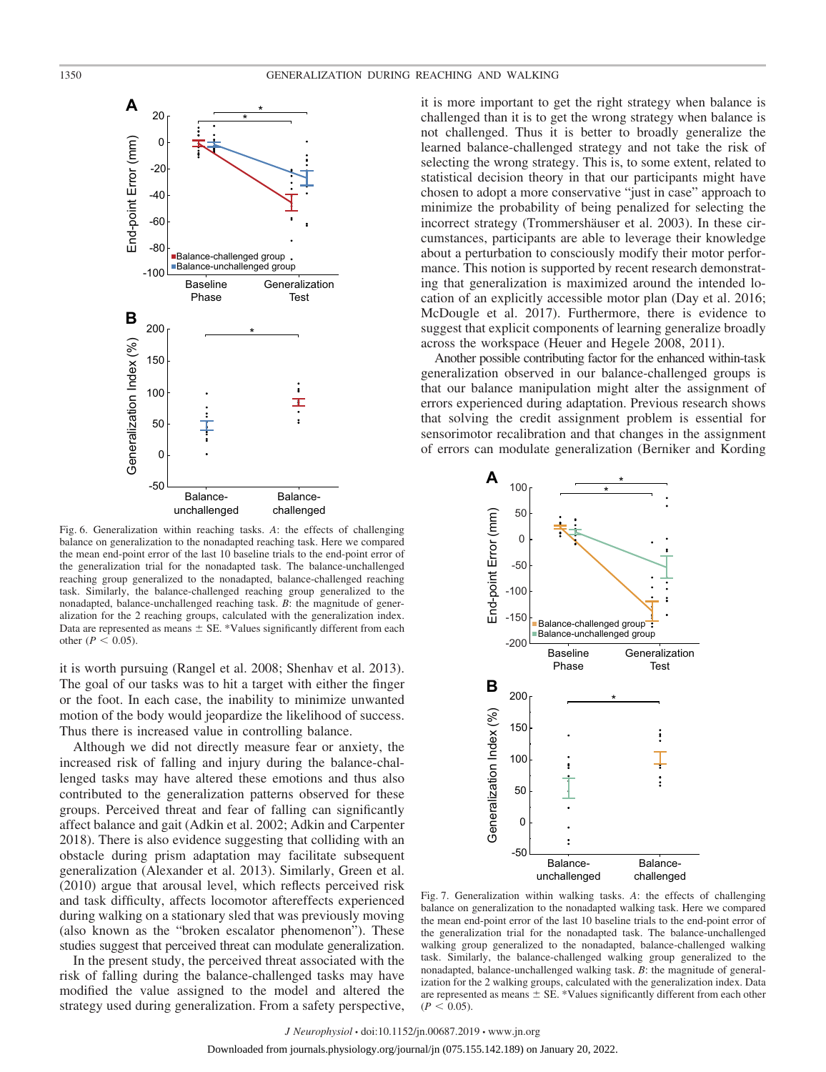

Fig. 6. Generalization within reaching tasks. *A*: the effects of challenging balance on generalization to the nonadapted reaching task. Here we compared the mean end-point error of the last 10 baseline trials to the end-point error of the generalization trial for the nonadapted task. The balance-unchallenged reaching group generalized to the nonadapted, balance-challenged reaching task. Similarly, the balance-challenged reaching group generalized to the nonadapted, balance-unchallenged reaching task. *B*: the magnitude of generalization for the 2 reaching groups, calculated with the generalization index. Data are represented as means  $\pm$  SE. \*Values significantly different from each other ( $P < 0.05$ ).

it is worth pursuing (Rangel et al. 2008; Shenhav et al. 2013). The goal of our tasks was to hit a target with either the finger or the foot. In each case, the inability to minimize unwanted motion of the body would jeopardize the likelihood of success. Thus there is increased value in controlling balance.

Although we did not directly measure fear or anxiety, the increased risk of falling and injury during the balance-challenged tasks may have altered these emotions and thus also contributed to the generalization patterns observed for these groups. Perceived threat and fear of falling can significantly affect balance and gait (Adkin et al. 2002; Adkin and Carpenter 2018). There is also evidence suggesting that colliding with an obstacle during prism adaptation may facilitate subsequent generalization (Alexander et al. 2013). Similarly, Green et al. (2010) argue that arousal level, which reflects perceived risk and task difficulty, affects locomotor aftereffects experienced during walking on a stationary sled that was previously moving (also known as the "broken escalator phenomenon"). These studies suggest that perceived threat can modulate generalization.

In the present study, the perceived threat associated with the risk of falling during the balance-challenged tasks may have modified the value assigned to the model and altered the strategy used during generalization. From a safety perspective,

it is more important to get the right strategy when balance is challenged than it is to get the wrong strategy when balance is not challenged. Thus it is better to broadly generalize the learned balance-challenged strategy and not take the risk of selecting the wrong strategy. This is, to some extent, related to statistical decision theory in that our participants might have chosen to adopt a more conservative "just in case" approach to minimize the probability of being penalized for selecting the incorrect strategy (Trommershäuser et al. 2003). In these circumstances, participants are able to leverage their knowledge about a perturbation to consciously modify their motor performance. This notion is supported by recent research demonstrating that generalization is maximized around the intended location of an explicitly accessible motor plan (Day et al. 2016; McDougle et al. 2017). Furthermore, there is evidence to suggest that explicit components of learning generalize broadly across the workspace (Heuer and Hegele 2008, 2011).

Another possible contributing factor for the enhanced within-task generalization observed in our balance-challenged groups is that our balance manipulation might alter the assignment of errors experienced during adaptation. Previous research shows that solving the credit assignment problem is essential for sensorimotor recalibration and that changes in the assignment of errors can modulate generalization (Berniker and Kording



Fig. 7. Generalization within walking tasks. *A*: the effects of challenging balance on generalization to the nonadapted walking task. Here we compared the mean end-point error of the last 10 baseline trials to the end-point error of the generalization trial for the nonadapted task. The balance-unchallenged walking group generalized to the nonadapted, balance-challenged walking task. Similarly, the balance-challenged walking group generalized to the nonadapted, balance-unchallenged walking task. *B*: the magnitude of generalization for the 2 walking groups, calculated with the generalization index. Data are represented as means  $\pm$  SE. \*Values significantly different from each other  $(P < 0.05)$ .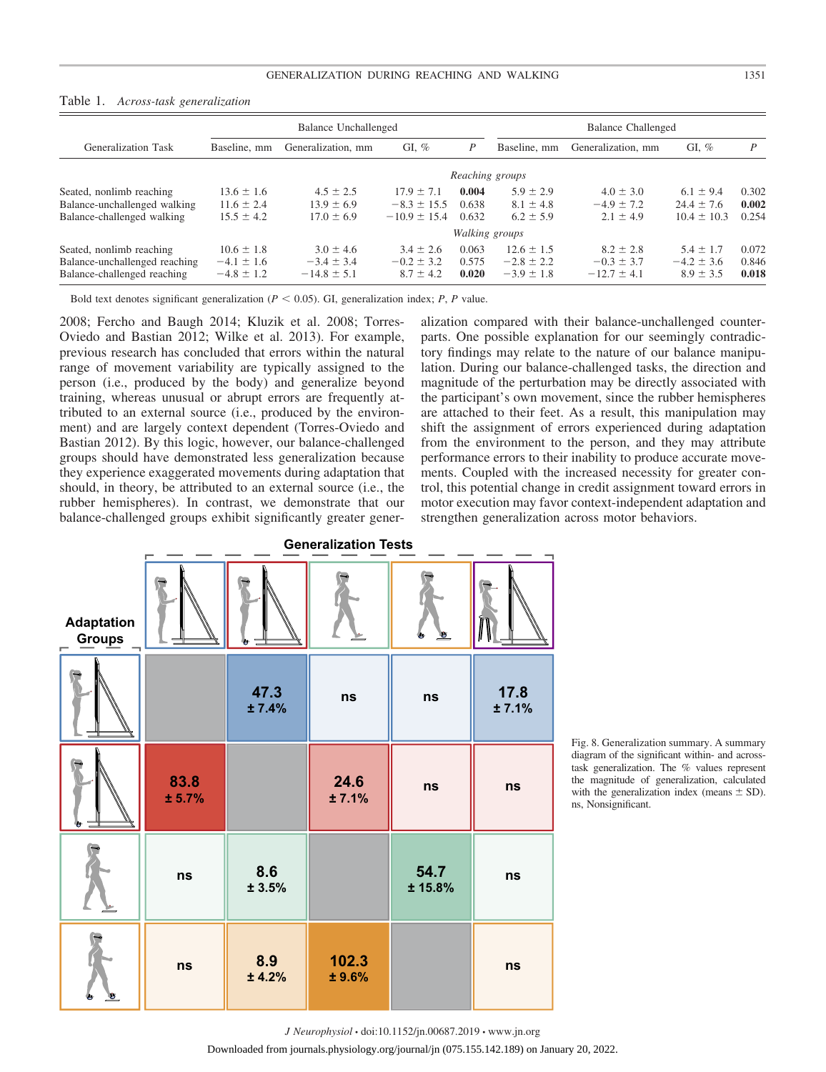| GI. $%$<br>GI, $%$<br><b>Generalization Task</b><br>Generalization, mm<br>Generalization, mm<br>Baseline, mm<br>P<br>Baseline, mm<br>Reaching groups<br>$4.5 \pm 2.5$<br>$5.9 \pm 2.9$<br>$13.6 \pm 1.6$<br>0.004<br>$4.0 \pm 3.0$<br>$17.9 \pm 7.1$<br>$6.1 \pm 9.4$<br>0.638<br>$8.1 \pm 4.8$<br>$-4.9 \pm 7.2$<br>$24.4 \pm 7.6$<br>$11.6 \pm 2.4$<br>$13.9 \pm 6.9$<br>$-8.3 \pm 15.5$<br>$2.1 \pm 4.9$<br>$15.5 \pm 4.2$<br>$6.2 \pm 5.9$<br>$17.0 \pm 6.9$<br>$-10.9 \pm 15.4$<br>0.632<br>$10.4 \pm 10.3$<br>Walking groups<br>$10.6 \pm 1.8$<br>$3.0 \pm 4.6$<br>0.063<br>$12.6 \pm 1.5$<br>$8.2 \pm 2.8$<br>$5.4 \pm 1.7$<br>$3.4 \pm 2.6$<br>$-0.2 \pm 3.2$<br>0.575<br>$-4.2 \pm 3.6$<br>$-2.8 \pm 2.2$<br>$-0.3 \pm 3.7$<br>$-4.1 \pm 1.6$<br>$-3.4 \pm 3.4$ |                             | <b>Balance Unchallenged</b> |                 |               |       | <b>Balance Challenged</b> |                 |               |       |
|--------------------------------------------------------------------------------------------------------------------------------------------------------------------------------------------------------------------------------------------------------------------------------------------------------------------------------------------------------------------------------------------------------------------------------------------------------------------------------------------------------------------------------------------------------------------------------------------------------------------------------------------------------------------------------------------------------------------------------------------------------------------------|-----------------------------|-----------------------------|-----------------|---------------|-------|---------------------------|-----------------|---------------|-------|
|                                                                                                                                                                                                                                                                                                                                                                                                                                                                                                                                                                                                                                                                                                                                                                          |                             |                             |                 |               |       |                           |                 |               | D     |
| Seated, nonlimb reaching<br>Balance-unchallenged walking<br>Balance-challenged walking<br>Seated, nonlimb reaching<br>Balance-unchallenged reaching                                                                                                                                                                                                                                                                                                                                                                                                                                                                                                                                                                                                                      |                             |                             |                 |               |       |                           |                 |               |       |
|                                                                                                                                                                                                                                                                                                                                                                                                                                                                                                                                                                                                                                                                                                                                                                          |                             |                             |                 |               |       |                           |                 |               | 0.302 |
|                                                                                                                                                                                                                                                                                                                                                                                                                                                                                                                                                                                                                                                                                                                                                                          |                             |                             |                 |               |       |                           |                 |               | 0.002 |
|                                                                                                                                                                                                                                                                                                                                                                                                                                                                                                                                                                                                                                                                                                                                                                          |                             |                             |                 |               |       |                           |                 |               | 0.254 |
|                                                                                                                                                                                                                                                                                                                                                                                                                                                                                                                                                                                                                                                                                                                                                                          |                             |                             |                 |               |       |                           |                 |               |       |
|                                                                                                                                                                                                                                                                                                                                                                                                                                                                                                                                                                                                                                                                                                                                                                          |                             |                             |                 |               |       |                           |                 |               | 0.072 |
|                                                                                                                                                                                                                                                                                                                                                                                                                                                                                                                                                                                                                                                                                                                                                                          |                             |                             |                 |               |       |                           |                 |               | 0.846 |
|                                                                                                                                                                                                                                                                                                                                                                                                                                                                                                                                                                                                                                                                                                                                                                          | Balance-challenged reaching | $-4.8 \pm 1.2$              | $-14.8 \pm 5.1$ | $8.7 \pm 4.2$ | 0.020 | $-3.9 \pm 1.8$            | $-12.7 \pm 4.1$ | $8.9 \pm 3.5$ | 0.018 |

| Table 1. |  | Across-task generalization |
|----------|--|----------------------------|
|----------|--|----------------------------|

Bold text denotes significant generalization ( $P < 0.05$ ). GI, generalization index;  $P$ ,  $P$  value.

2008; Fercho and Baugh 2014; Kluzik et al. 2008; Torres-Oviedo and Bastian 2012; Wilke et al. 2013). For example, previous research has concluded that errors within the natural range of movement variability are typically assigned to the person (i.e., produced by the body) and generalize beyond training, whereas unusual or abrupt errors are frequently attributed to an external source (i.e., produced by the environment) and are largely context dependent (Torres-Oviedo and Bastian 2012). By this logic, however, our balance-challenged groups should have demonstrated less generalization because they experience exaggerated movements during adaptation that should, in theory, be attributed to an external source (i.e., the rubber hemispheres). In contrast, we demonstrate that our balance-challenged groups exhibit significantly greater generalization compared with their balance-unchallenged counterparts. One possible explanation for our seemingly contradictory findings may relate to the nature of our balance manipulation. During our balance-challenged tasks, the direction and magnitude of the perturbation may be directly associated with the participant's own movement, since the rubber hemispheres are attached to their feet. As a result, this manipulation may shift the assignment of errors experienced during adaptation from the environment to the person, and they may attribute performance errors to their inability to produce accurate movements. Coupled with the increased necessity for greater control, this potential change in credit assignment toward errors in motor execution may favor context-independent adaptation and strengthen generalization across motor behaviors.

|                                         | <b>Generalization Tests</b> |               |                 |                 |               |  |  |  |
|-----------------------------------------|-----------------------------|---------------|-----------------|-----------------|---------------|--|--|--|
| <b>Adaptation</b><br><b>Groups</b><br>п |                             |               |                 | Ò.              |               |  |  |  |
|                                         |                             | 47.3<br>±7.4% | ns              | ns              | 17.8<br>±7.1% |  |  |  |
|                                         | 83.8<br>± 5.7%              |               | 24.6<br>±7.1%   | ns              | ns            |  |  |  |
|                                         | ns                          | 8.6<br>± 3.5% |                 | 54.7<br>± 15.8% | ns            |  |  |  |
| υ                                       | <b>ns</b>                   | 8.9<br>± 4.2% | 102.3<br>± 9.6% |                 | ns            |  |  |  |

Fig. 8. Generalization summary. A summary diagram of the significant within- and acrosstask generalization. The % values represent the magnitude of generalization, calculated with the generalization index (means  $\pm$  SD). ns, Nonsignificant.

*J Neurophysiol* • doi:10.1152/jn.00687.2019 • www.jn.org

Downloaded from journals.physiology.org/journal/jn (075.155.142.189) on January 20, 2022.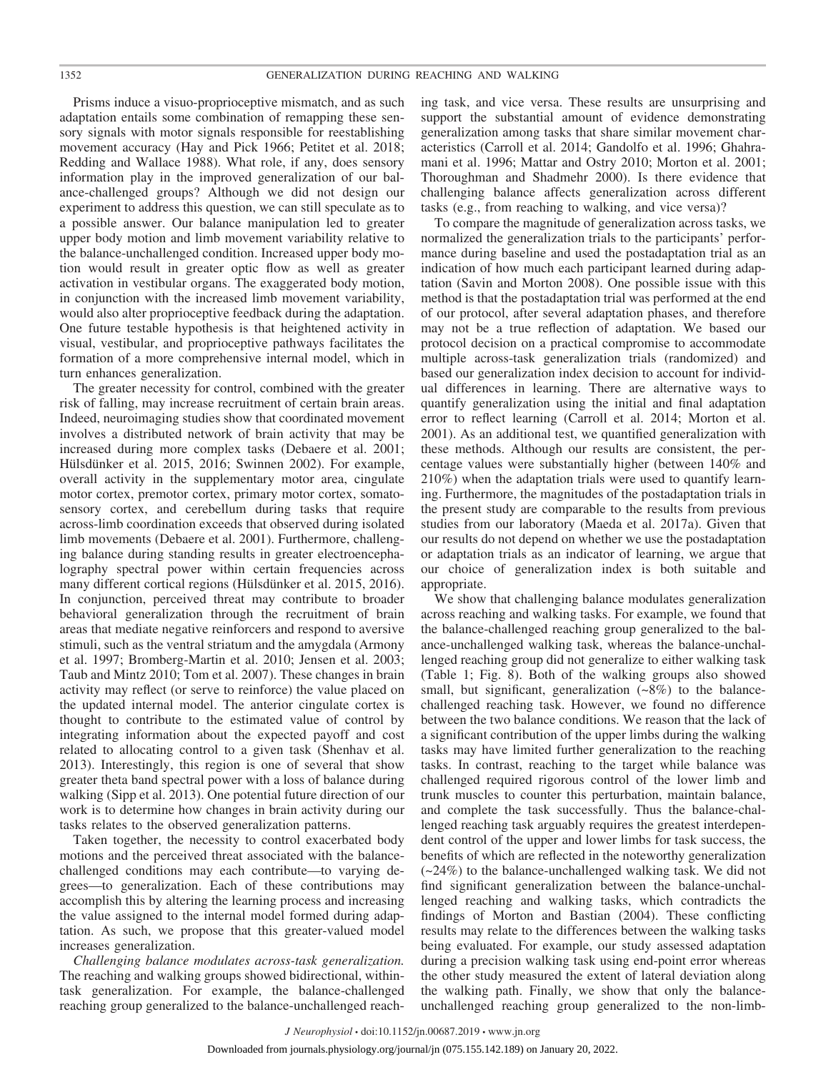Prisms induce a visuo-proprioceptive mismatch, and as such adaptation entails some combination of remapping these sensory signals with motor signals responsible for reestablishing movement accuracy (Hay and Pick 1966; Petitet et al. 2018; Redding and Wallace 1988). What role, if any, does sensory information play in the improved generalization of our balance-challenged groups? Although we did not design our experiment to address this question, we can still speculate as to a possible answer. Our balance manipulation led to greater upper body motion and limb movement variability relative to the balance-unchallenged condition. Increased upper body motion would result in greater optic flow as well as greater activation in vestibular organs. The exaggerated body motion, in conjunction with the increased limb movement variability, would also alter proprioceptive feedback during the adaptation. One future testable hypothesis is that heightened activity in visual, vestibular, and proprioceptive pathways facilitates the formation of a more comprehensive internal model, which in turn enhances generalization.

The greater necessity for control, combined with the greater risk of falling, may increase recruitment of certain brain areas. Indeed, neuroimaging studies show that coordinated movement involves a distributed network of brain activity that may be increased during more complex tasks (Debaere et al. 2001; Hülsdünker et al. 2015, 2016; Swinnen 2002). For example, overall activity in the supplementary motor area, cingulate motor cortex, premotor cortex, primary motor cortex, somatosensory cortex, and cerebellum during tasks that require across-limb coordination exceeds that observed during isolated limb movements (Debaere et al. 2001). Furthermore, challenging balance during standing results in greater electroencephalography spectral power within certain frequencies across many different cortical regions (Hülsdünker et al. 2015, 2016). In conjunction, perceived threat may contribute to broader behavioral generalization through the recruitment of brain areas that mediate negative reinforcers and respond to aversive stimuli, such as the ventral striatum and the amygdala (Armony et al. 1997; Bromberg-Martin et al. 2010; Jensen et al. 2003; Taub and Mintz 2010; Tom et al. 2007). These changes in brain activity may reflect (or serve to reinforce) the value placed on the updated internal model. The anterior cingulate cortex is thought to contribute to the estimated value of control by integrating information about the expected payoff and cost related to allocating control to a given task (Shenhav et al. 2013). Interestingly, this region is one of several that show greater theta band spectral power with a loss of balance during walking (Sipp et al. 2013). One potential future direction of our work is to determine how changes in brain activity during our tasks relates to the observed generalization patterns.

Taken together, the necessity to control exacerbated body motions and the perceived threat associated with the balancechallenged conditions may each contribute—to varying degrees—to generalization. Each of these contributions may accomplish this by altering the learning process and increasing the value assigned to the internal model formed during adaptation. As such, we propose that this greater-valued model increases generalization.

*Challenging balance modulates across-task generalization.* The reaching and walking groups showed bidirectional, withintask generalization. For example, the balance-challenged reaching group generalized to the balance-unchallenged reach-

ing task, and vice versa. These results are unsurprising and support the substantial amount of evidence demonstrating generalization among tasks that share similar movement characteristics (Carroll et al. 2014; Gandolfo et al. 1996; Ghahramani et al. 1996; Mattar and Ostry 2010; Morton et al. 2001; Thoroughman and Shadmehr 2000). Is there evidence that challenging balance affects generalization across different tasks (e.g., from reaching to walking, and vice versa)?

To compare the magnitude of generalization across tasks, we normalized the generalization trials to the participants' performance during baseline and used the postadaptation trial as an indication of how much each participant learned during adaptation (Savin and Morton 2008). One possible issue with this method is that the postadaptation trial was performed at the end of our protocol, after several adaptation phases, and therefore may not be a true reflection of adaptation. We based our protocol decision on a practical compromise to accommodate multiple across-task generalization trials (randomized) and based our generalization index decision to account for individual differences in learning. There are alternative ways to quantify generalization using the initial and final adaptation error to reflect learning (Carroll et al. 2014; Morton et al. 2001). As an additional test, we quantified generalization with these methods. Although our results are consistent, the percentage values were substantially higher (between 140% and 210%) when the adaptation trials were used to quantify learning. Furthermore, the magnitudes of the postadaptation trials in the present study are comparable to the results from previous studies from our laboratory (Maeda et al. 2017a). Given that our results do not depend on whether we use the postadaptation or adaptation trials as an indicator of learning, we argue that our choice of generalization index is both suitable and appropriate.

We show that challenging balance modulates generalization across reaching and walking tasks. For example, we found that the balance-challenged reaching group generalized to the balance-unchallenged walking task, whereas the balance-unchallenged reaching group did not generalize to either walking task (Table 1; Fig. 8). Both of the walking groups also showed small, but significant, generalization  $(-8%)$  to the balancechallenged reaching task. However, we found no difference between the two balance conditions. We reason that the lack of a significant contribution of the upper limbs during the walking tasks may have limited further generalization to the reaching tasks. In contrast, reaching to the target while balance was challenged required rigorous control of the lower limb and trunk muscles to counter this perturbation, maintain balance, and complete the task successfully. Thus the balance-challenged reaching task arguably requires the greatest interdependent control of the upper and lower limbs for task success, the benefits of which are reflected in the noteworthy generalization (~24%) to the balance-unchallenged walking task. We did not find significant generalization between the balance-unchallenged reaching and walking tasks, which contradicts the findings of Morton and Bastian (2004). These conflicting results may relate to the differences between the walking tasks being evaluated. For example, our study assessed adaptation during a precision walking task using end-point error whereas the other study measured the extent of lateral deviation along the walking path. Finally, we show that only the balanceunchallenged reaching group generalized to the non-limb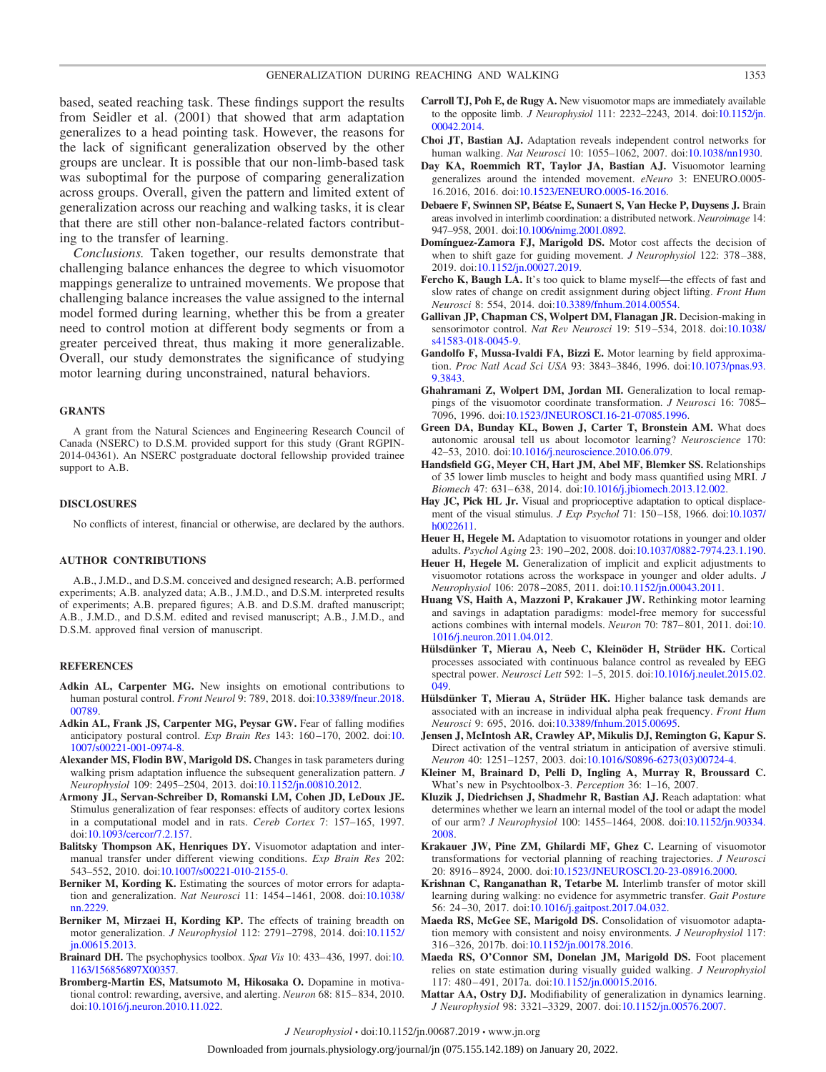based, seated reaching task. These findings support the results from Seidler et al. (2001) that showed that arm adaptation generalizes to a head pointing task. However, the reasons for the lack of significant generalization observed by the other groups are unclear. It is possible that our non-limb-based task was suboptimal for the purpose of comparing generalization across groups. Overall, given the pattern and limited extent of generalization across our reaching and walking tasks, it is clear that there are still other non-balance-related factors contributing to the transfer of learning.

*Conclusions.* Taken together, our results demonstrate that challenging balance enhances the degree to which visuomotor mappings generalize to untrained movements. We propose that challenging balance increases the value assigned to the internal model formed during learning, whether this be from a greater need to control motion at different body segments or from a greater perceived threat, thus making it more generalizable. Overall, our study demonstrates the significance of studying motor learning during unconstrained, natural behaviors.

## **GRANTS**

A grant from the Natural Sciences and Engineering Research Council of Canada (NSERC) to D.S.M. provided support for this study (Grant RGPIN-2014-04361). An NSERC postgraduate doctoral fellowship provided trainee support to A.B.

#### **DISCLOSURES**

No conflicts of interest, financial or otherwise, are declared by the authors.

#### **AUTHOR CONTRIBUTIONS**

A.B., J.M.D., and D.S.M. conceived and designed research; A.B. performed experiments; A.B. analyzed data; A.B., J.M.D., and D.S.M. interpreted results of experiments; A.B. prepared figures; A.B. and D.S.M. drafted manuscript; A.B., J.M.D., and D.S.M. edited and revised manuscript; A.B., J.M.D., and D.S.M. approved final version of manuscript.

#### **REFERENCES**

- **Adkin AL, Carpenter MG.** New insights on emotional contributions to human postural control. *Front Neurol* 9: 789, 2018. doi[:10.3389/fneur.2018.](https://doi.org/10.3389/fneur.2018.00789) [00789.](https://doi.org/10.3389/fneur.2018.00789)
- **Adkin AL, Frank JS, Carpenter MG, Peysar GW.** Fear of falling modifies anticipatory postural control. *Exp Brain Res* 143: 160 –170, 2002. doi[:10.](https://doi.org/10.1007/s00221-001-0974-8) [1007/s00221-001-0974-8.](https://doi.org/10.1007/s00221-001-0974-8)
- **Alexander MS, Flodin BW, Marigold DS.** Changes in task parameters during walking prism adaptation influence the subsequent generalization pattern. *J Neurophysiol* 109: 2495–2504, 2013. doi[:10.1152/jn.00810.2012.](https://doi.org/10.1152/jn.00810.2012)
- **Armony JL, Servan-Schreiber D, Romanski LM, Cohen JD, LeDoux JE.** Stimulus generalization of fear responses: effects of auditory cortex lesions in a computational model and in rats. *Cereb Cortex* 7: 157–165, 1997. doi[:10.1093/cercor/7.2.157.](https://doi.org/10.1093/cercor/7.2.157)
- **Balitsky Thompson AK, Henriques DY.** Visuomotor adaptation and intermanual transfer under different viewing conditions. *Exp Brain Res* 202: 543–552, 2010. doi[:10.1007/s00221-010-2155-0.](https://doi.org/10.1007/s00221-010-2155-0)
- **Berniker M, Kording K.** Estimating the sources of motor errors for adaptation and generalization. *Nat Neurosci* 11: 1454 –1461, 2008. doi[:10.1038/](https://doi.org/10.1038/nn.2229) [nn.2229.](https://doi.org/10.1038/nn.2229)
- **Berniker M, Mirzaei H, Kording KP.** The effects of training breadth on motor generalization. *J Neurophysiol* 112: 2791–2798, 2014. doi[:10.1152/](https://doi.org/10.1152/jn.00615.2013) in.00615.2013.
- **Brainard DH.** The psychophysics toolbox. *Spat Vis* 10: 433– 436, 1997. doi[:10.](https://doi.org/10.1163/156856897X00357) [1163/156856897X00357.](https://doi.org/10.1163/156856897X00357)
- **Bromberg-Martin ES, Matsumoto M, Hikosaka O.** Dopamine in motivational control: rewarding, aversive, and alerting. *Neuron* 68: 815– 834, 2010. doi[:10.1016/j.neuron.2010.11.022.](https://doi.org/10.1016/j.neuron.2010.11.022)
- **Carroll TJ, Poh E, de Rugy A.** New visuomotor maps are immediately available to the opposite limb. *J Neurophysiol* 111: 2232–2243, 2014. doi[:10.1152/jn.](https://doi.org/10.1152/jn.00042.2014) [00042.2014.](https://doi.org/10.1152/jn.00042.2014)
- **Choi JT, Bastian AJ.** Adaptation reveals independent control networks for human walking. *Nat Neurosci* 10: 1055–1062, 2007. doi[:10.1038/nn1930.](https://doi.org/10.1038/nn1930)
- **Day KA, Roemmich RT, Taylor JA, Bastian AJ.** Visuomotor learning generalizes around the intended movement. *eNeuro* 3: ENEURO.0005- 16.2016, 2016. doi[:10.1523/ENEURO.0005-16.2016.](https://doi.org/10.1523/ENEURO.0005-16.2016)
- **Debaere F, Swinnen SP, Béatse E, Sunaert S, Van Hecke P, Duysens J.** Brain areas involved in interlimb coordination: a distributed network. *Neuroimage* 14: 947–958, 2001. doi[:10.1006/nimg.2001.0892.](https://doi.org/10.1006/nimg.2001.0892)
- **Domínguez-Zamora FJ, Marigold DS.** Motor cost affects the decision of when to shift gaze for guiding movement. *J Neurophysiol* 122: 378 –388, 2019. doi[:10.1152/jn.00027.2019.](https://doi.org/10.1152/jn.00027.2019)
- Fercho K, Baugh LA. It's too quick to blame myself—the effects of fast and slow rates of change on credit assignment during object lifting. *Front Hum Neurosci* 8: 554, 2014. doi[:10.3389/fnhum.2014.00554.](https://doi.org/10.3389/fnhum.2014.00554)
- **Gallivan JP, Chapman CS, Wolpert DM, Flanagan JR.** Decision-making in sensorimotor control. *Nat Rev Neurosci* 19: 519 –534, 2018. doi[:10.1038/](https://doi.org/10.1038/s41583-018-0045-9) [s41583-018-0045-9.](https://doi.org/10.1038/s41583-018-0045-9)
- **Gandolfo F, Mussa-Ivaldi FA, Bizzi E.** Motor learning by field approximation. *Proc Natl Acad Sci USA* 93: 3843–3846, 1996. doi[:10.1073/pnas.93.](https://doi.org/10.1073/pnas.93.9.3843) [9.3843.](https://doi.org/10.1073/pnas.93.9.3843)
- **Ghahramani Z, Wolpert DM, Jordan MI.** Generalization to local remappings of the visuomotor coordinate transformation. *J Neurosci* 16: 7085– 7096, 1996. doi[:10.1523/JNEUROSCI.16-21-07085.1996.](https://doi.org/10.1523/JNEUROSCI.16-21-07085.1996)
- **Green DA, Bunday KL, Bowen J, Carter T, Bronstein AM.** What does autonomic arousal tell us about locomotor learning? *Neuroscience* 170: 42–53, 2010. doi[:10.1016/j.neuroscience.2010.06.079.](https://doi.org/10.1016/j.neuroscience.2010.06.079)
- **Handsfield GG, Meyer CH, Hart JM, Abel MF, Blemker SS.** Relationships of 35 lower limb muscles to height and body mass quantified using MRI. *J Biomech* 47: 631– 638, 2014. doi[:10.1016/j.jbiomech.2013.12.002.](https://doi.org/10.1016/j.jbiomech.2013.12.002)
- Hay JC, Pick HL Jr. Visual and proprioceptive adaptation to optical displacement of the visual stimulus. *J Exp Psychol* 71: 150 –158, 1966. doi[:10.1037/](https://doi.org/10.1037/h0022611) [h0022611.](https://doi.org/10.1037/h0022611)
- **Heuer H, Hegele M.** Adaptation to visuomotor rotations in younger and older adults. *Psychol Aging* 23: 190 –202, 2008. doi[:10.1037/0882-7974.23.1.190.](https://doi.org/10.1037/0882-7974.23.1.190)
- **Heuer H, Hegele M.** Generalization of implicit and explicit adjustments to visuomotor rotations across the workspace in younger and older adults. *J Neurophysiol* 106: 2078 –2085, 2011. doi[:10.1152/jn.00043.2011.](https://doi.org/10.1152/jn.00043.2011)
- **Huang VS, Haith A, Mazzoni P, Krakauer JW.** Rethinking motor learning and savings in adaptation paradigms: model-free memory for successful actions combines with internal models. *Neuron* 70: 787– 801, 2011. doi[:10.](https://doi.org/10.1016/j.neuron.2011.04.012) [1016/j.neuron.2011.04.012.](https://doi.org/10.1016/j.neuron.2011.04.012)
- **Hülsdünker T, Mierau A, Neeb C, Kleinöder H, Strüder HK.** Cortical processes associated with continuous balance control as revealed by EEG spectral power. *Neurosci Lett* 592: 1–5, 2015. doi[:10.1016/j.neulet.2015.02.](https://doi.org/10.1016/j.neulet.2015.02.049) [049.](https://doi.org/10.1016/j.neulet.2015.02.049)
- **Hülsdünker T, Mierau A, Strüder HK.** Higher balance task demands are associated with an increase in individual alpha peak frequency. *Front Hum Neurosci* 9: 695, 2016. doi[:10.3389/fnhum.2015.00695.](https://doi.org/10.3389/fnhum.2015.00695)
- **Jensen J, McIntosh AR, Crawley AP, Mikulis DJ, Remington G, Kapur S.** Direct activation of the ventral striatum in anticipation of aversive stimuli. *Neuron* 40: 1251–1257, 2003. doi[:10.1016/S0896-6273\(03\)00724-4.](https://doi.org/10.1016/S0896-6273(03)00724-4)
- **Kleiner M, Brainard D, Pelli D, Ingling A, Murray R, Broussard C.** What's new in Psychtoolbox-3. *Perception* 36: 1–16, 2007.
- **Kluzik J, Diedrichsen J, Shadmehr R, Bastian AJ.** Reach adaptation: what determines whether we learn an internal model of the tool or adapt the model of our arm? *J Neurophysiol* 100: 1455–1464, 2008. doi[:10.1152/jn.90334.](https://doi.org/10.1152/jn.90334.2008) [2008.](https://doi.org/10.1152/jn.90334.2008)
- **Krakauer JW, Pine ZM, Ghilardi MF, Ghez C.** Learning of visuomotor transformations for vectorial planning of reaching trajectories. *J Neurosci* 20: 8916 – 8924, 2000. doi[:10.1523/JNEUROSCI.20-23-08916.2000.](https://doi.org/10.1523/JNEUROSCI.20-23-08916.2000)
- **Krishnan C, Ranganathan R, Tetarbe M.** Interlimb transfer of motor skill learning during walking: no evidence for asymmetric transfer. *Gait Posture* 56: 24 –30, 2017. doi[:10.1016/j.gaitpost.2017.04.032.](https://doi.org/10.1016/j.gaitpost.2017.04.032)
- **Maeda RS, McGee SE, Marigold DS.** Consolidation of visuomotor adaptation memory with consistent and noisy environments. *J Neurophysiol* 117: 316 –326, 2017b. doi[:10.1152/jn.00178.2016.](https://doi.org/10.1152/jn.00178.2016)
- **Maeda RS, O'Connor SM, Donelan JM, Marigold DS.** Foot placement relies on state estimation during visually guided walking. *J Neurophysiol* 117: 480 – 491, 2017a. doi[:10.1152/jn.00015.2016.](https://doi.org/10.1152/jn.00015.2016)
- **Mattar AA, Ostry DJ.** Modifiability of generalization in dynamics learning. *J Neurophysiol* 98: 3321–3329, 2007. doi[:10.1152/jn.00576.2007.](https://doi.org/10.1152/jn.00576.2007)